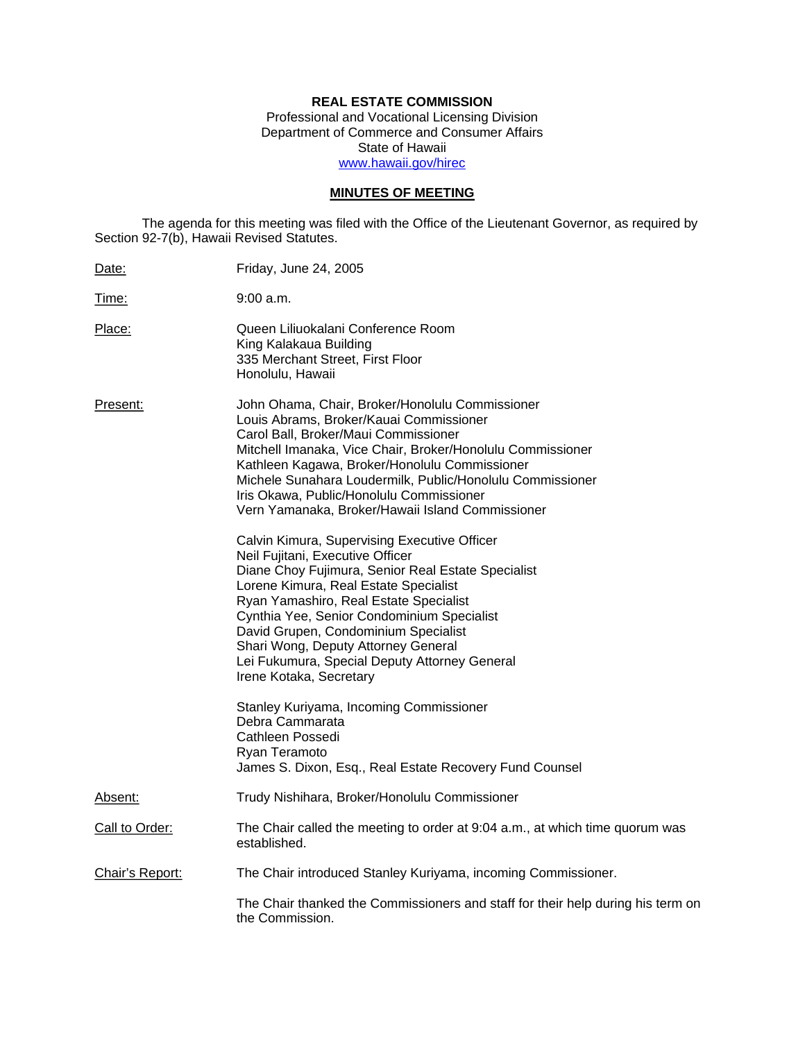## **REAL ESTATE COMMISSION**

Professional and Vocational Licensing Division Department of Commerce and Consumer Affairs State of Hawaii www.hawaii.gov/hirec

# **MINUTES OF MEETING**

The agenda for this meeting was filed with the Office of the Lieutenant Governor, as required by Section 92-7(b), Hawaii Revised Statutes.

| Date:           | Friday, June 24, 2005                                                                                                                                                                                                                                                                                                                                                                                                              |
|-----------------|------------------------------------------------------------------------------------------------------------------------------------------------------------------------------------------------------------------------------------------------------------------------------------------------------------------------------------------------------------------------------------------------------------------------------------|
| Time:           | $9:00$ a.m.                                                                                                                                                                                                                                                                                                                                                                                                                        |
| Place:          | Queen Liliuokalani Conference Room<br>King Kalakaua Building<br>335 Merchant Street, First Floor<br>Honolulu, Hawaii                                                                                                                                                                                                                                                                                                               |
| Present:        | John Ohama, Chair, Broker/Honolulu Commissioner<br>Louis Abrams, Broker/Kauai Commissioner<br>Carol Ball, Broker/Maui Commissioner<br>Mitchell Imanaka, Vice Chair, Broker/Honolulu Commissioner<br>Kathleen Kagawa, Broker/Honolulu Commissioner<br>Michele Sunahara Loudermilk, Public/Honolulu Commissioner<br>Iris Okawa, Public/Honolulu Commissioner<br>Vern Yamanaka, Broker/Hawaii Island Commissioner                     |
|                 | Calvin Kimura, Supervising Executive Officer<br>Neil Fujitani, Executive Officer<br>Diane Choy Fujimura, Senior Real Estate Specialist<br>Lorene Kimura, Real Estate Specialist<br>Ryan Yamashiro, Real Estate Specialist<br>Cynthia Yee, Senior Condominium Specialist<br>David Grupen, Condominium Specialist<br>Shari Wong, Deputy Attorney General<br>Lei Fukumura, Special Deputy Attorney General<br>Irene Kotaka, Secretary |
|                 | Stanley Kuriyama, Incoming Commissioner<br>Debra Cammarata<br>Cathleen Possedi<br>Ryan Teramoto<br>James S. Dixon, Esq., Real Estate Recovery Fund Counsel                                                                                                                                                                                                                                                                         |
| Absent:         | Trudy Nishihara, Broker/Honolulu Commissioner                                                                                                                                                                                                                                                                                                                                                                                      |
| Call to Order:  | The Chair called the meeting to order at 9:04 a.m., at which time quorum was<br>established.                                                                                                                                                                                                                                                                                                                                       |
| Chair's Report: | The Chair introduced Stanley Kuriyama, incoming Commissioner.                                                                                                                                                                                                                                                                                                                                                                      |
|                 | The Chair thanked the Commissioners and staff for their help during his term on<br>the Commission.                                                                                                                                                                                                                                                                                                                                 |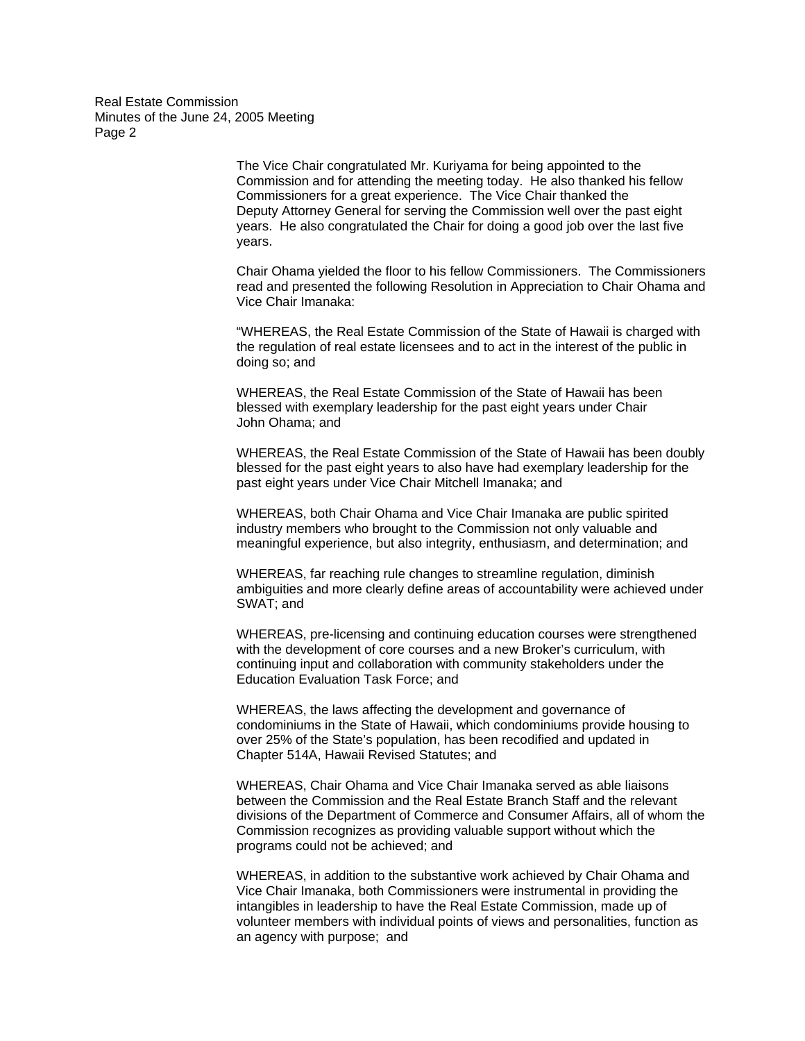> The Vice Chair congratulated Mr. Kuriyama for being appointed to the Commission and for attending the meeting today. He also thanked his fellow Commissioners for a great experience. The Vice Chair thanked the Deputy Attorney General for serving the Commission well over the past eight years. He also congratulated the Chair for doing a good job over the last five years.

Chair Ohama yielded the floor to his fellow Commissioners. The Commissioners read and presented the following Resolution in Appreciation to Chair Ohama and Vice Chair Imanaka:

"WHEREAS, the Real Estate Commission of the State of Hawaii is charged with the regulation of real estate licensees and to act in the interest of the public in doing so; and

WHEREAS, the Real Estate Commission of the State of Hawaii has been blessed with exemplary leadership for the past eight years under Chair John Ohama; and

WHEREAS, the Real Estate Commission of the State of Hawaii has been doubly blessed for the past eight years to also have had exemplary leadership for the past eight years under Vice Chair Mitchell Imanaka; and

WHEREAS, both Chair Ohama and Vice Chair Imanaka are public spirited industry members who brought to the Commission not only valuable and meaningful experience, but also integrity, enthusiasm, and determination; and

WHEREAS, far reaching rule changes to streamline regulation, diminish ambiguities and more clearly define areas of accountability were achieved under SWAT; and

WHEREAS, pre-licensing and continuing education courses were strengthened with the development of core courses and a new Broker's curriculum, with continuing input and collaboration with community stakeholders under the Education Evaluation Task Force; and

WHEREAS, the laws affecting the development and governance of condominiums in the State of Hawaii, which condominiums provide housing to over 25% of the State's population, has been recodified and updated in Chapter 514A, Hawaii Revised Statutes; and

WHEREAS, Chair Ohama and Vice Chair Imanaka served as able liaisons between the Commission and the Real Estate Branch Staff and the relevant divisions of the Department of Commerce and Consumer Affairs, all of whom the Commission recognizes as providing valuable support without which the programs could not be achieved; and

WHEREAS, in addition to the substantive work achieved by Chair Ohama and Vice Chair Imanaka, both Commissioners were instrumental in providing the intangibles in leadership to have the Real Estate Commission, made up of volunteer members with individual points of views and personalities, function as an agency with purpose; and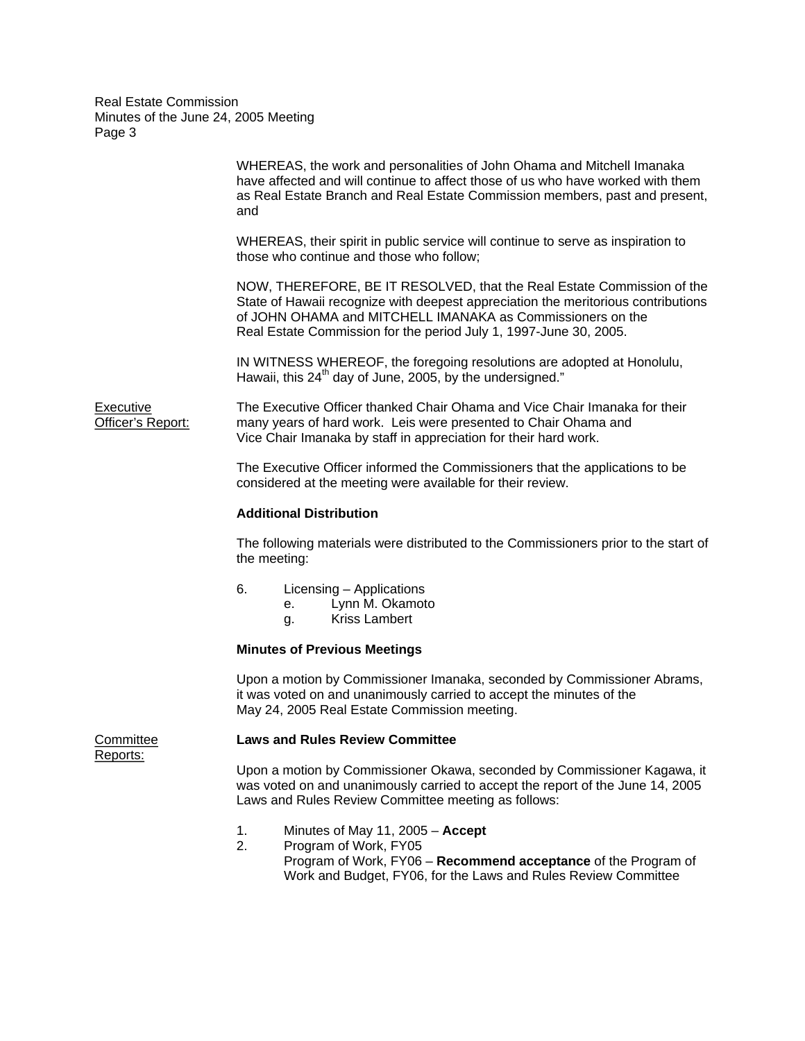WHEREAS, the work and personalities of John Ohama and Mitchell Imanaka have affected and will continue to affect those of us who have worked with them as Real Estate Branch and Real Estate Commission members, past and present, and WHEREAS, their spirit in public service will continue to serve as inspiration to those who continue and those who follow; NOW, THEREFORE, BE IT RESOLVED, that the Real Estate Commission of the State of Hawaii recognize with deepest appreciation the meritorious contributions of JOHN OHAMA and MITCHELL IMANAKA as Commissioners on the Real Estate Commission for the period July 1, 1997-June 30, 2005. IN WITNESS WHEREOF, the foregoing resolutions are adopted at Honolulu, Hawaii, this  $24<sup>th</sup>$  day of June, 2005, by the undersigned." Executive The Executive Officer thanked Chair Ohama and Vice Chair Imanaka for their Officer's Report: many years of hard work. Leis were presented to Chair Ohama and Vice Chair Imanaka by staff in appreciation for their hard work. The Executive Officer informed the Commissioners that the applications to be considered at the meeting were available for their review. **Additional Distribution**  The following materials were distributed to the Commissioners prior to the start of the meeting: 6. Licensing – Applications e. Lynn M. Okamoto

g. Kriss Lambert

## **Minutes of Previous Meetings**

Upon a motion by Commissioner Imanaka, seconded by Commissioner Abrams, it was voted on and unanimously carried to accept the minutes of the May 24, 2005 Real Estate Commission meeting.

Reports:

## Committee **Laws and Rules Review Committee**

Upon a motion by Commissioner Okawa, seconded by Commissioner Kagawa, it was voted on and unanimously carried to accept the report of the June 14, 2005 Laws and Rules Review Committee meeting as follows:

- 1. Minutes of May 11, 2005 **Accept**
- 2. Program of Work, FY05 Program of Work, FY06 – **Recommend acceptance** of the Program of Work and Budget, FY06, for the Laws and Rules Review Committee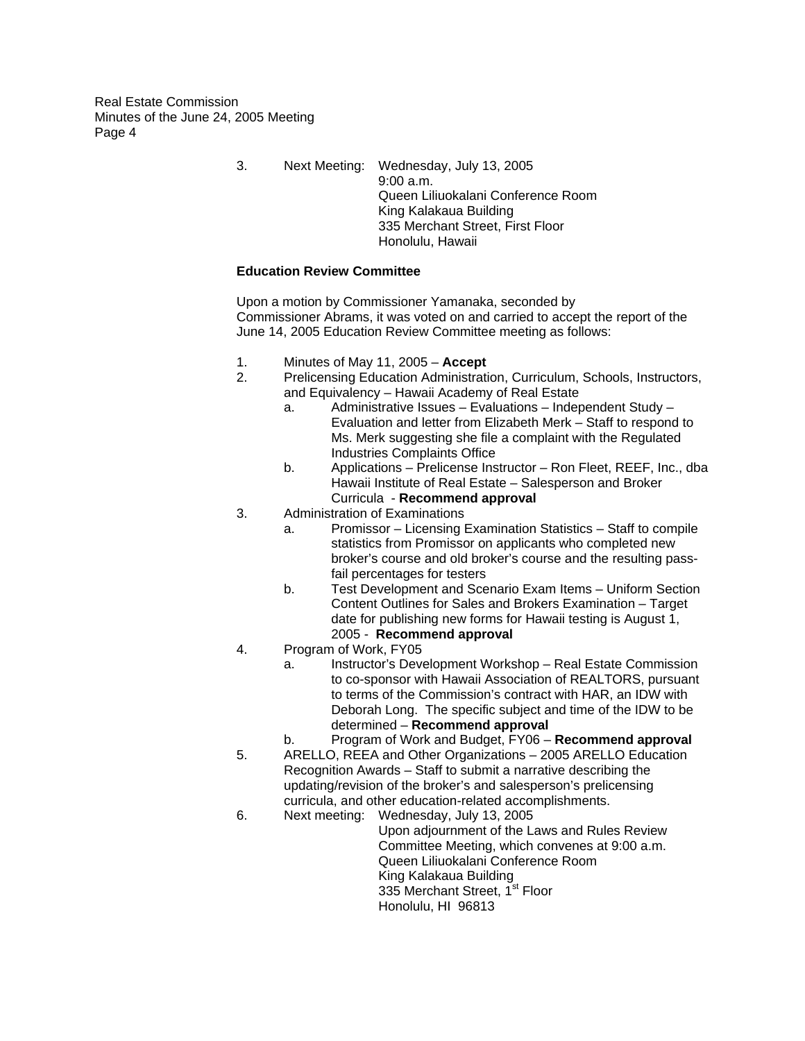> 3. Next Meeting: Wednesday, July 13, 2005 9:00 a.m. Queen Liliuokalani Conference Room King Kalakaua Building 335 Merchant Street, First Floor Honolulu, Hawaii

## **Education Review Committee**

Upon a motion by Commissioner Yamanaka, seconded by Commissioner Abrams, it was voted on and carried to accept the report of the June 14, 2005 Education Review Committee meeting as follows:

- 1. Minutes of May 11, 2005 **Accept**
- 2. Prelicensing Education Administration, Curriculum, Schools, Instructors, and Equivalency – Hawaii Academy of Real Estate
	- a. Administrative Issues Evaluations Independent Study Evaluation and letter from Elizabeth Merk – Staff to respond to Ms. Merk suggesting she file a complaint with the Regulated Industries Complaints Office
	- b. Applications Prelicense Instructor Ron Fleet, REEF, Inc., dba Hawaii Institute of Real Estate – Salesperson and Broker Curricula - **Recommend approval**
- 3. Administration of Examinations
	- a. Promissor Licensing Examination Statistics Staff to compile statistics from Promissor on applicants who completed new broker's course and old broker's course and the resulting passfail percentages for testers
	- b. Test Development and Scenario Exam Items Uniform Section Content Outlines for Sales and Brokers Examination – Target date for publishing new forms for Hawaii testing is August 1, 2005 - **Recommend approval**
- 4. Program of Work, FY05
	- a. Instructor's Development Workshop Real Estate Commission to co-sponsor with Hawaii Association of REALTORS, pursuant to terms of the Commission's contract with HAR, an IDW with Deborah Long. The specific subject and time of the IDW to be determined – **Recommend approval**
	- b. Program of Work and Budget, FY06 **Recommend approval**
- 5. ARELLO, REEA and Other Organizations 2005 ARELLO Education Recognition Awards – Staff to submit a narrative describing the updating/revision of the broker's and salesperson's prelicensing curricula, and other education-related accomplishments.
- 6. Next meeting: Wednesday, July 13, 2005
	- Upon adjournment of the Laws and Rules Review Committee Meeting, which convenes at 9:00 a.m. Queen Liliuokalani Conference Room King Kalakaua Building 335 Merchant Street, 1<sup>st</sup> Floor Honolulu, HI 96813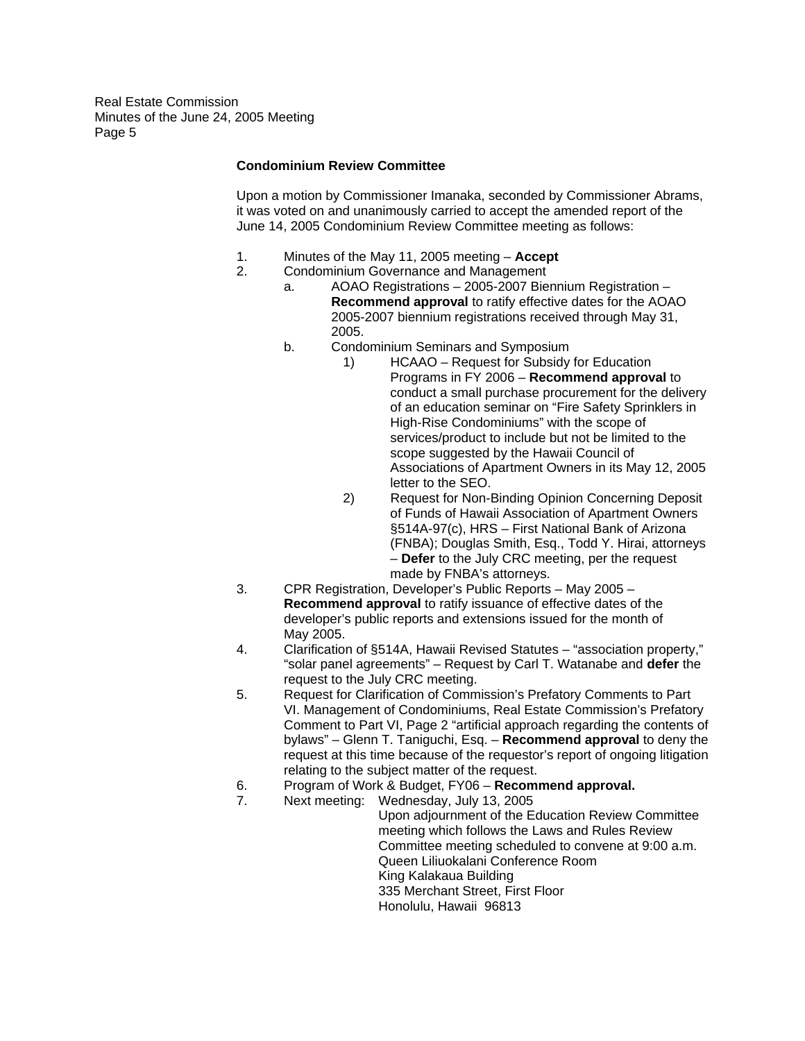## **Condominium Review Committee**

Upon a motion by Commissioner Imanaka, seconded by Commissioner Abrams, it was voted on and unanimously carried to accept the amended report of the June 14, 2005 Condominium Review Committee meeting as follows:

- 1. Minutes of the May 11, 2005 meeting **Accept**
- 2. Condominium Governance and Management
	- a. AOAO Registrations 2005-2007 Biennium Registration **Recommend approval** to ratify effective dates for the AOAO 2005-2007 biennium registrations received through May 31, 2005.
	- b. Condominium Seminars and Symposium
		- 1) HCAAO Request for Subsidy for Education Programs in FY 2006 – **Recommend approval** to conduct a small purchase procurement for the delivery of an education seminar on "Fire Safety Sprinklers in High-Rise Condominiums" with the scope of services/product to include but not be limited to the scope suggested by the Hawaii Council of Associations of Apartment Owners in its May 12, 2005 letter to the SEO.
		- 2) Request for Non-Binding Opinion Concerning Deposit of Funds of Hawaii Association of Apartment Owners §514A-97(c), HRS – First National Bank of Arizona (FNBA); Douglas Smith, Esq., Todd Y. Hirai, attorneys – **Defer** to the July CRC meeting, per the request made by FNBA's attorneys.
- 3. CPR Registration, Developer's Public Reports May 2005 **Recommend approval** to ratify issuance of effective dates of the developer's public reports and extensions issued for the month of May 2005.
- 4. Clarification of §514A, Hawaii Revised Statutes "association property," "solar panel agreements" – Request by Carl T. Watanabe and **defer** the request to the July CRC meeting.
- 5. Request for Clarification of Commission's Prefatory Comments to Part VI. Management of Condominiums, Real Estate Commission's Prefatory Comment to Part VI, Page 2 "artificial approach regarding the contents of bylaws" – Glenn T. Taniguchi, Esq. – **Recommend approval** to deny the request at this time because of the requestor's report of ongoing litigation relating to the subject matter of the request.
- 6. Program of Work & Budget, FY06 **Recommend approval.**
- 7. Next meeting: Wednesday, July 13, 2005 Upon adjournment of the Education Review Committee meeting which follows the Laws and Rules Review Committee meeting scheduled to convene at 9:00 a.m. Queen Liliuokalani Conference Room King Kalakaua Building 335 Merchant Street, First Floor Honolulu, Hawaii 96813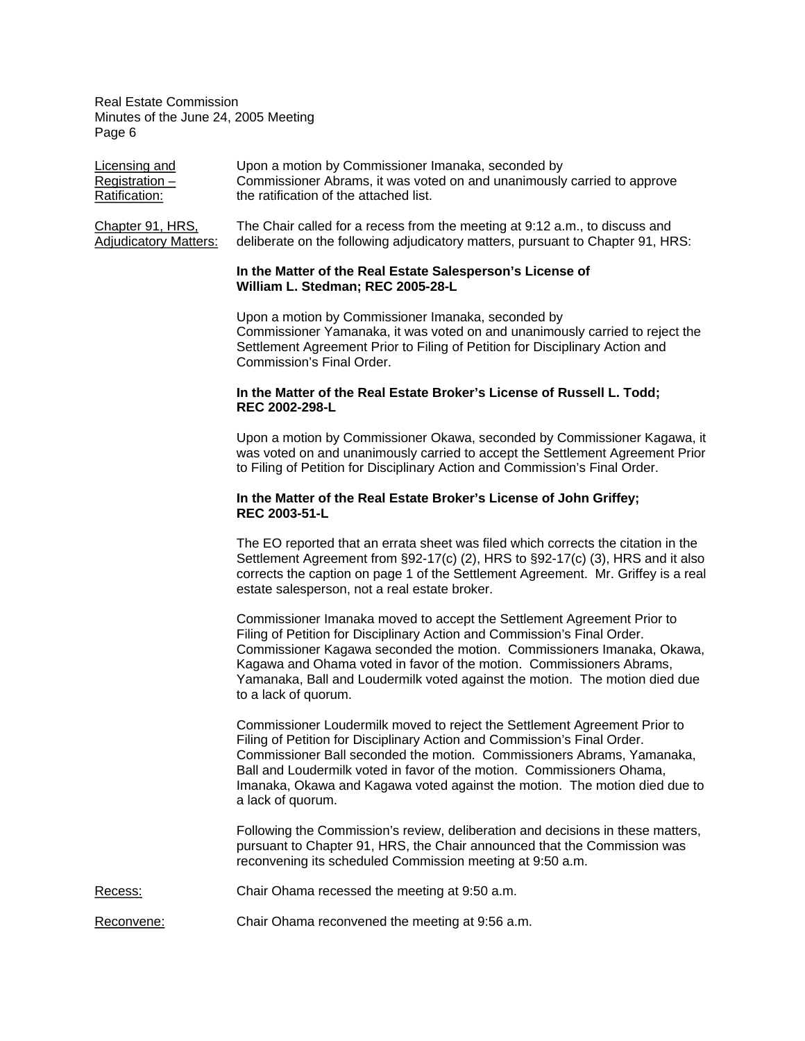| Licensing and                                    | Upon a motion by Commissioner Imanaka, seconded by                                                                                                            |
|--------------------------------------------------|---------------------------------------------------------------------------------------------------------------------------------------------------------------|
| Registration $-$                                 | Commissioner Abrams, it was voted on and unanimously carried to approve                                                                                       |
| Ratification:                                    | the ratification of the attached list.                                                                                                                        |
| Chapter 91, HRS,<br><b>Adjudicatory Matters:</b> | The Chair called for a recess from the meeting at 9:12 a.m., to discuss and<br>deliberate on the following adjudicatory matters, pursuant to Chapter 91, HRS: |

## **In the Matter of the Real Estate Salesperson's License of William L. Stedman; REC 2005-28-L**

Upon a motion by Commissioner Imanaka, seconded by Commissioner Yamanaka, it was voted on and unanimously carried to reject the Settlement Agreement Prior to Filing of Petition for Disciplinary Action and Commission's Final Order.

## **In the Matter of the Real Estate Broker's License of Russell L. Todd; REC 2002-298-L**

Upon a motion by Commissioner Okawa, seconded by Commissioner Kagawa, it was voted on and unanimously carried to accept the Settlement Agreement Prior to Filing of Petition for Disciplinary Action and Commission's Final Order.

## **In the Matter of the Real Estate Broker's License of John Griffey; REC 2003-51-L**

The EO reported that an errata sheet was filed which corrects the citation in the Settlement Agreement from §92-17(c) (2), HRS to §92-17(c) (3), HRS and it also corrects the caption on page 1 of the Settlement Agreement. Mr. Griffey is a real estate salesperson, not a real estate broker.

Commissioner Imanaka moved to accept the Settlement Agreement Prior to Filing of Petition for Disciplinary Action and Commission's Final Order. Commissioner Kagawa seconded the motion. Commissioners Imanaka, Okawa, Kagawa and Ohama voted in favor of the motion. Commissioners Abrams, Yamanaka, Ball and Loudermilk voted against the motion. The motion died due to a lack of quorum.

Commissioner Loudermilk moved to reject the Settlement Agreement Prior to Filing of Petition for Disciplinary Action and Commission's Final Order. Commissioner Ball seconded the motion. Commissioners Abrams, Yamanaka, Ball and Loudermilk voted in favor of the motion. Commissioners Ohama, Imanaka, Okawa and Kagawa voted against the motion. The motion died due to a lack of quorum.

Following the Commission's review, deliberation and decisions in these matters, pursuant to Chapter 91, HRS, the Chair announced that the Commission was reconvening its scheduled Commission meeting at 9:50 a.m.

- Recess: Chair Ohama recessed the meeting at 9:50 a.m.
- Reconvene: Chair Ohama reconvened the meeting at 9:56 a.m.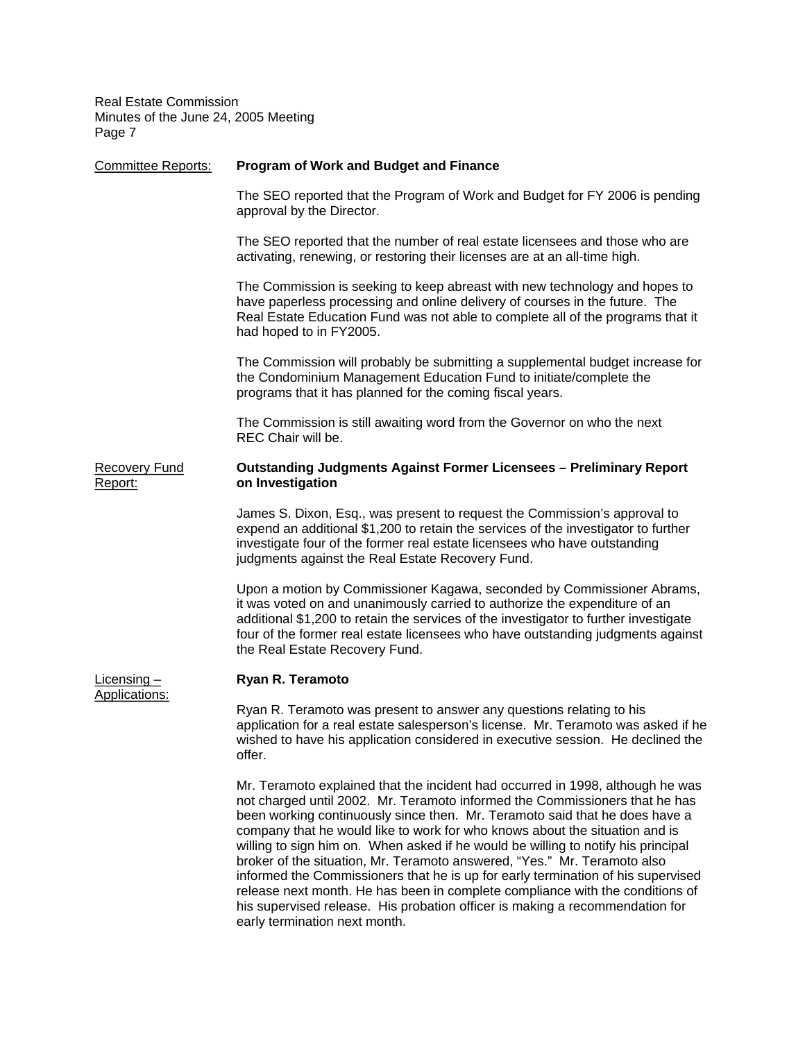| <b>Committee Reports:</b>       | <b>Program of Work and Budget and Finance</b>                                                                                                                                                                                                                                                                                                                                                                                                                                                                                                                                                                                                                                                                                                                                      |
|---------------------------------|------------------------------------------------------------------------------------------------------------------------------------------------------------------------------------------------------------------------------------------------------------------------------------------------------------------------------------------------------------------------------------------------------------------------------------------------------------------------------------------------------------------------------------------------------------------------------------------------------------------------------------------------------------------------------------------------------------------------------------------------------------------------------------|
|                                 | The SEO reported that the Program of Work and Budget for FY 2006 is pending<br>approval by the Director.                                                                                                                                                                                                                                                                                                                                                                                                                                                                                                                                                                                                                                                                           |
|                                 | The SEO reported that the number of real estate licensees and those who are<br>activating, renewing, or restoring their licenses are at an all-time high.                                                                                                                                                                                                                                                                                                                                                                                                                                                                                                                                                                                                                          |
|                                 | The Commission is seeking to keep abreast with new technology and hopes to<br>have paperless processing and online delivery of courses in the future. The<br>Real Estate Education Fund was not able to complete all of the programs that it<br>had hoped to in FY2005.                                                                                                                                                                                                                                                                                                                                                                                                                                                                                                            |
|                                 | The Commission will probably be submitting a supplemental budget increase for<br>the Condominium Management Education Fund to initiate/complete the<br>programs that it has planned for the coming fiscal years.                                                                                                                                                                                                                                                                                                                                                                                                                                                                                                                                                                   |
|                                 | The Commission is still awaiting word from the Governor on who the next<br>REC Chair will be.                                                                                                                                                                                                                                                                                                                                                                                                                                                                                                                                                                                                                                                                                      |
| <b>Recovery Fund</b><br>Report: | <b>Outstanding Judgments Against Former Licensees - Preliminary Report</b><br>on Investigation                                                                                                                                                                                                                                                                                                                                                                                                                                                                                                                                                                                                                                                                                     |
|                                 | James S. Dixon, Esq., was present to request the Commission's approval to<br>expend an additional \$1,200 to retain the services of the investigator to further<br>investigate four of the former real estate licensees who have outstanding<br>judgments against the Real Estate Recovery Fund.                                                                                                                                                                                                                                                                                                                                                                                                                                                                                   |
|                                 | Upon a motion by Commissioner Kagawa, seconded by Commissioner Abrams,<br>it was voted on and unanimously carried to authorize the expenditure of an<br>additional \$1,200 to retain the services of the investigator to further investigate<br>four of the former real estate licensees who have outstanding judgments against<br>the Real Estate Recovery Fund.                                                                                                                                                                                                                                                                                                                                                                                                                  |
| Licensing $-$<br>Applications:  | Ryan R. Teramoto                                                                                                                                                                                                                                                                                                                                                                                                                                                                                                                                                                                                                                                                                                                                                                   |
|                                 | Ryan R. Teramoto was present to answer any questions relating to his<br>application for a real estate salesperson's license. Mr. Teramoto was asked if he<br>wished to have his application considered in executive session. He declined the<br>offer.                                                                                                                                                                                                                                                                                                                                                                                                                                                                                                                             |
|                                 | Mr. Teramoto explained that the incident had occurred in 1998, although he was<br>not charged until 2002. Mr. Teramoto informed the Commissioners that he has<br>been working continuously since then. Mr. Teramoto said that he does have a<br>company that he would like to work for who knows about the situation and is<br>willing to sign him on. When asked if he would be willing to notify his principal<br>broker of the situation, Mr. Teramoto answered, "Yes." Mr. Teramoto also<br>informed the Commissioners that he is up for early termination of his supervised<br>release next month. He has been in complete compliance with the conditions of<br>his supervised release. His probation officer is making a recommendation for<br>early termination next month. |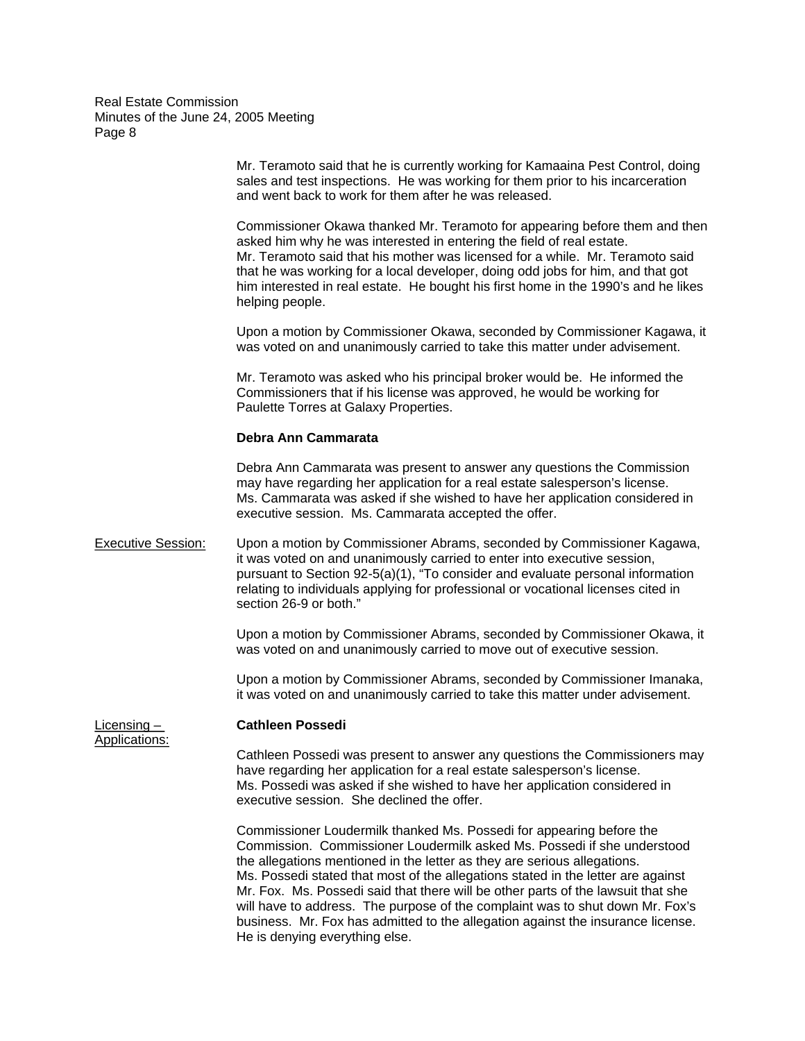> Mr. Teramoto said that he is currently working for Kamaaina Pest Control, doing sales and test inspections. He was working for them prior to his incarceration and went back to work for them after he was released.

Commissioner Okawa thanked Mr. Teramoto for appearing before them and then asked him why he was interested in entering the field of real estate. Mr. Teramoto said that his mother was licensed for a while. Mr. Teramoto said that he was working for a local developer, doing odd jobs for him, and that got him interested in real estate. He bought his first home in the 1990's and he likes helping people.

Upon a motion by Commissioner Okawa, seconded by Commissioner Kagawa, it was voted on and unanimously carried to take this matter under advisement.

Mr. Teramoto was asked who his principal broker would be. He informed the Commissioners that if his license was approved, he would be working for Paulette Torres at Galaxy Properties.

#### **Debra Ann Cammarata**

Debra Ann Cammarata was present to answer any questions the Commission may have regarding her application for a real estate salesperson's license. Ms. Cammarata was asked if she wished to have her application considered in executive session. Ms. Cammarata accepted the offer.

Executive Session: Upon a motion by Commissioner Abrams, seconded by Commissioner Kagawa, it was voted on and unanimously carried to enter into executive session, pursuant to Section 92-5(a)(1), "To consider and evaluate personal information relating to individuals applying for professional or vocational licenses cited in section 26-9 or both."

> Upon a motion by Commissioner Abrams, seconded by Commissioner Okawa, it was voted on and unanimously carried to move out of executive session.

> Upon a motion by Commissioner Abrams, seconded by Commissioner Imanaka, it was voted on and unanimously carried to take this matter under advisement.

#### Licensing – **Cathleen Possedi**

Applications:

Cathleen Possedi was present to answer any questions the Commissioners may have regarding her application for a real estate salesperson's license. Ms. Possedi was asked if she wished to have her application considered in executive session. She declined the offer.

Commissioner Loudermilk thanked Ms. Possedi for appearing before the Commission. Commissioner Loudermilk asked Ms. Possedi if she understood the allegations mentioned in the letter as they are serious allegations. Ms. Possedi stated that most of the allegations stated in the letter are against Mr. Fox. Ms. Possedi said that there will be other parts of the lawsuit that she will have to address. The purpose of the complaint was to shut down Mr. Fox's business. Mr. Fox has admitted to the allegation against the insurance license. He is denying everything else.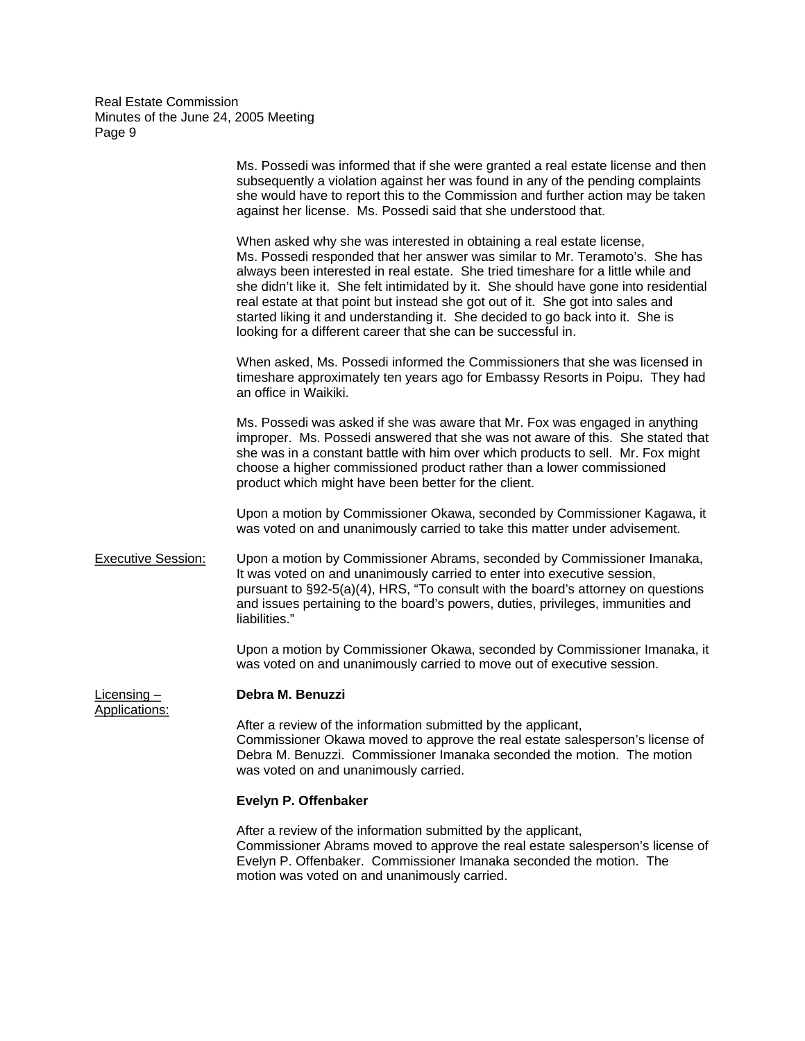|                                | Ms. Possedi was informed that if she were granted a real estate license and then<br>subsequently a violation against her was found in any of the pending complaints<br>she would have to report this to the Commission and further action may be taken<br>against her license. Ms. Possedi said that she understood that.                                                                                                                                                                                                                                                 |
|--------------------------------|---------------------------------------------------------------------------------------------------------------------------------------------------------------------------------------------------------------------------------------------------------------------------------------------------------------------------------------------------------------------------------------------------------------------------------------------------------------------------------------------------------------------------------------------------------------------------|
|                                | When asked why she was interested in obtaining a real estate license,<br>Ms. Possedi responded that her answer was similar to Mr. Teramoto's. She has<br>always been interested in real estate. She tried timeshare for a little while and<br>she didn't like it. She felt intimidated by it. She should have gone into residential<br>real estate at that point but instead she got out of it. She got into sales and<br>started liking it and understanding it. She decided to go back into it. She is<br>looking for a different career that she can be successful in. |
|                                | When asked, Ms. Possedi informed the Commissioners that she was licensed in<br>timeshare approximately ten years ago for Embassy Resorts in Poipu. They had<br>an office in Waikiki.                                                                                                                                                                                                                                                                                                                                                                                      |
|                                | Ms. Possedi was asked if she was aware that Mr. Fox was engaged in anything<br>improper. Ms. Possedi answered that she was not aware of this. She stated that<br>she was in a constant battle with him over which products to sell. Mr. Fox might<br>choose a higher commissioned product rather than a lower commissioned<br>product which might have been better for the client.                                                                                                                                                                                        |
|                                | Upon a motion by Commissioner Okawa, seconded by Commissioner Kagawa, it<br>was voted on and unanimously carried to take this matter under advisement.                                                                                                                                                                                                                                                                                                                                                                                                                    |
| <b>Executive Session:</b>      | Upon a motion by Commissioner Abrams, seconded by Commissioner Imanaka,<br>It was voted on and unanimously carried to enter into executive session,<br>pursuant to §92-5(a)(4), HRS, "To consult with the board's attorney on questions<br>and issues pertaining to the board's powers, duties, privileges, immunities and<br>liabilities."                                                                                                                                                                                                                               |
|                                | Upon a motion by Commissioner Okawa, seconded by Commissioner Imanaka, it<br>was voted on and unanimously carried to move out of executive session.                                                                                                                                                                                                                                                                                                                                                                                                                       |
| Licensing $-$<br>Applications: | Debra M. Benuzzi                                                                                                                                                                                                                                                                                                                                                                                                                                                                                                                                                          |
|                                | After a review of the information submitted by the applicant,<br>Commissioner Okawa moved to approve the real estate salesperson's license of<br>Debra M. Benuzzi. Commissioner Imanaka seconded the motion. The motion<br>was voted on and unanimously carried.                                                                                                                                                                                                                                                                                                          |
|                                | Evelyn P. Offenbaker                                                                                                                                                                                                                                                                                                                                                                                                                                                                                                                                                      |

After a review of the information submitted by the applicant, Commissioner Abrams moved to approve the real estate salesperson's license of Evelyn P. Offenbaker. Commissioner Imanaka seconded the motion. The motion was voted on and unanimously carried.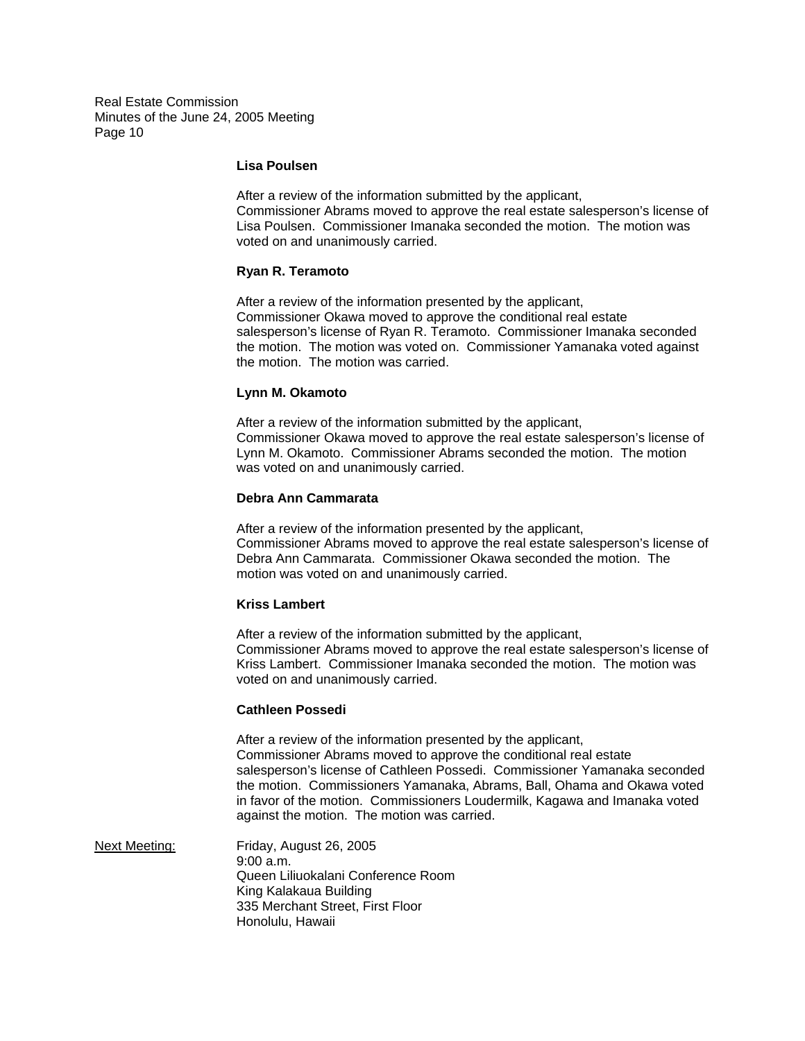### **Lisa Poulsen**

After a review of the information submitted by the applicant, Commissioner Abrams moved to approve the real estate salesperson's license of Lisa Poulsen. Commissioner Imanaka seconded the motion. The motion was voted on and unanimously carried.

### **Ryan R. Teramoto**

After a review of the information presented by the applicant, Commissioner Okawa moved to approve the conditional real estate salesperson's license of Ryan R. Teramoto. Commissioner Imanaka seconded the motion. The motion was voted on. Commissioner Yamanaka voted against the motion. The motion was carried.

#### **Lynn M. Okamoto**

After a review of the information submitted by the applicant, Commissioner Okawa moved to approve the real estate salesperson's license of Lynn M. Okamoto. Commissioner Abrams seconded the motion. The motion was voted on and unanimously carried.

## **Debra Ann Cammarata**

After a review of the information presented by the applicant, Commissioner Abrams moved to approve the real estate salesperson's license of Debra Ann Cammarata. Commissioner Okawa seconded the motion. The motion was voted on and unanimously carried.

#### **Kriss Lambert**

After a review of the information submitted by the applicant, Commissioner Abrams moved to approve the real estate salesperson's license of Kriss Lambert. Commissioner Imanaka seconded the motion. The motion was voted on and unanimously carried.

#### **Cathleen Possedi**

After a review of the information presented by the applicant, Commissioner Abrams moved to approve the conditional real estate salesperson's license of Cathleen Possedi. Commissioner Yamanaka seconded the motion. Commissioners Yamanaka, Abrams, Ball, Ohama and Okawa voted in favor of the motion. Commissioners Loudermilk, Kagawa and Imanaka voted against the motion. The motion was carried.

Next Meeting: Friday, August 26, 2005 9:00 a.m. Queen Liliuokalani Conference Room King Kalakaua Building 335 Merchant Street, First Floor Honolulu, Hawaii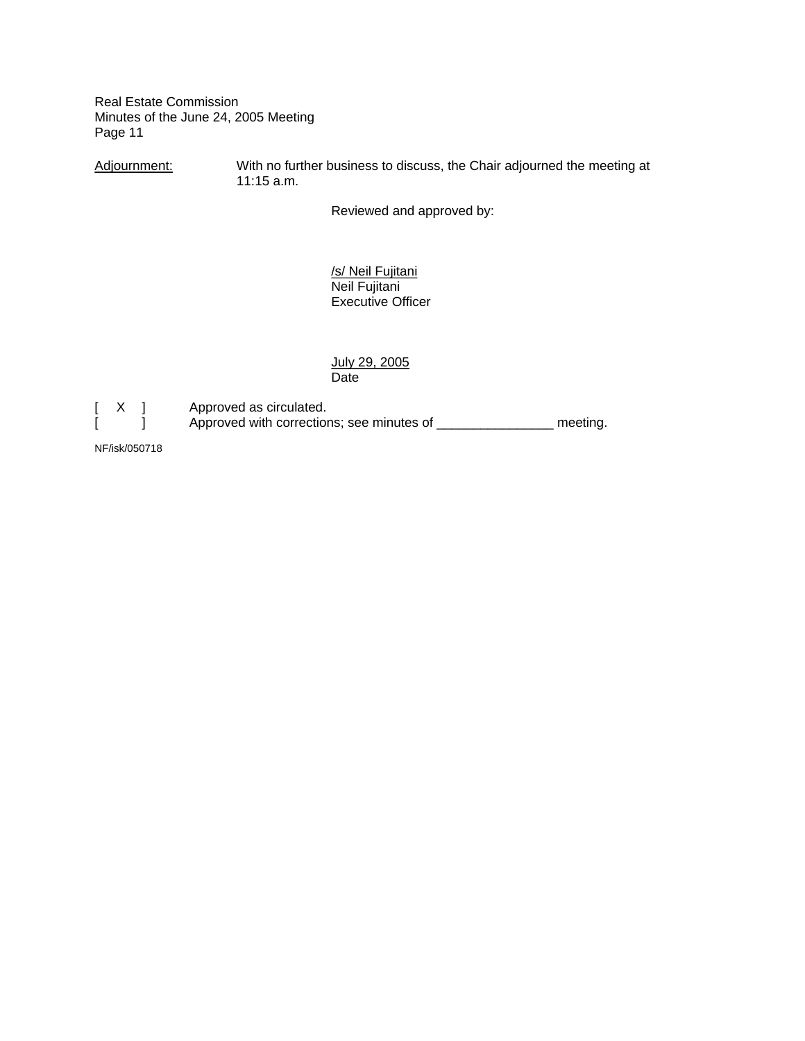Adjournment: With no further business to discuss, the Chair adjourned the meeting at 11:15 a.m.

Reviewed and approved by:

 /s/ Neil Fujitani Neil Fujitani Executive Officer

July 29, 2005<br>Date **Date Date Date** 



[ X ] Approved as circulated.<br>[ ] Approved with correction Approved with corrections; see minutes of \_\_\_\_\_\_\_\_\_\_\_\_\_\_\_\_\_\_ meeting.

NF/isk/050718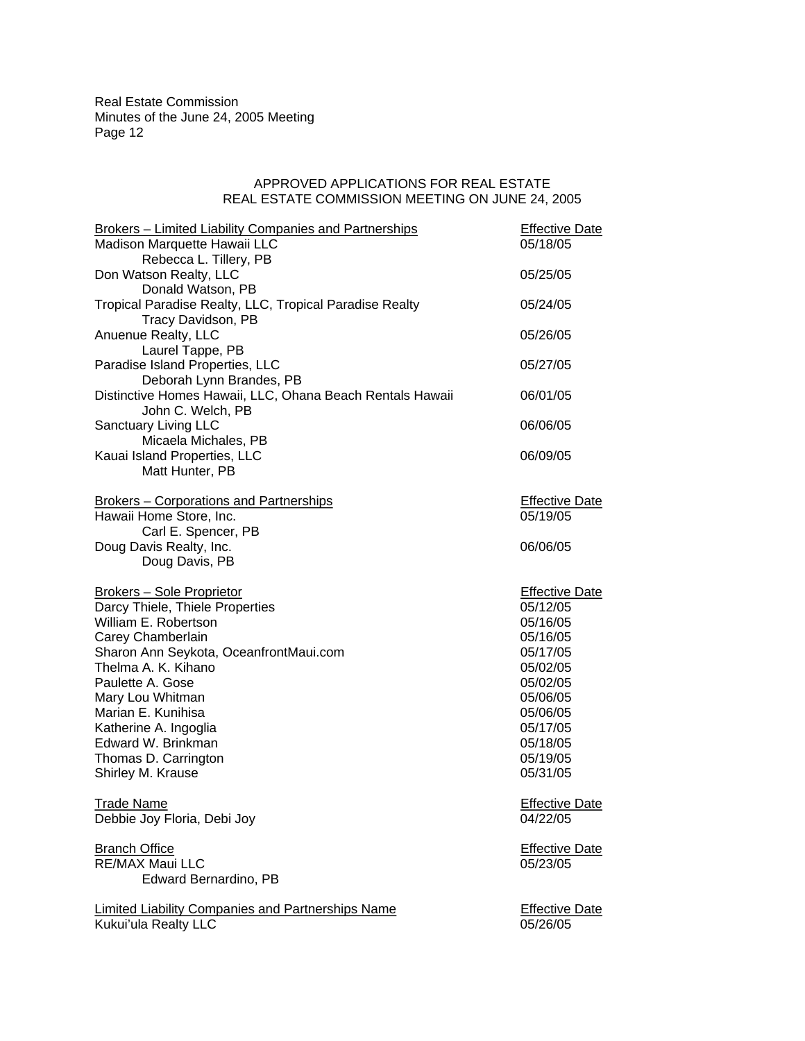### APPROVED APPLICATIONS FOR REAL ESTATE REAL ESTATE COMMISSION MEETING ON JUNE 24, 2005

| <b>Brokers - Limited Liability Companies and Partnerships</b>                    | <b>Effective Date</b>             |
|----------------------------------------------------------------------------------|-----------------------------------|
| Madison Marquette Hawaii LLC                                                     | 05/18/05                          |
| Rebecca L. Tillery, PB<br>Don Watson Realty, LLC                                 | 05/25/05                          |
| Donald Watson, PB                                                                |                                   |
| Tropical Paradise Realty, LLC, Tropical Paradise Realty                          | 05/24/05                          |
| Tracy Davidson, PB                                                               |                                   |
| Anuenue Realty, LLC                                                              | 05/26/05                          |
| Laurel Tappe, PB                                                                 |                                   |
| Paradise Island Properties, LLC                                                  | 05/27/05                          |
| Deborah Lynn Brandes, PB                                                         |                                   |
| Distinctive Homes Hawaii, LLC, Ohana Beach Rentals Hawaii<br>John C. Welch, PB   | 06/01/05                          |
| Sanctuary Living LLC                                                             | 06/06/05                          |
| Micaela Michales, PB                                                             |                                   |
| Kauai Island Properties, LLC                                                     | 06/09/05                          |
| Matt Hunter, PB                                                                  |                                   |
|                                                                                  |                                   |
| <b>Brokers - Corporations and Partnerships</b>                                   | <b>Effective Date</b>             |
| Hawaii Home Store, Inc.                                                          | 05/19/05                          |
| Carl E. Spencer, PB                                                              |                                   |
| Doug Davis Realty, Inc.                                                          | 06/06/05                          |
| Doug Davis, PB                                                                   |                                   |
|                                                                                  |                                   |
|                                                                                  |                                   |
| <b>Brokers - Sole Proprietor</b><br>Darcy Thiele, Thiele Properties              | <b>Effective Date</b><br>05/12/05 |
| William E. Robertson                                                             | 05/16/05                          |
| Carey Chamberlain                                                                | 05/16/05                          |
| Sharon Ann Seykota, OceanfrontMaui.com                                           | 05/17/05                          |
| Thelma A. K. Kihano                                                              | 05/02/05                          |
| Paulette A. Gose                                                                 | 05/02/05                          |
| Mary Lou Whitman                                                                 | 05/06/05                          |
| Marian E. Kunihisa                                                               | 05/06/05                          |
| Katherine A. Ingoglia                                                            | 05/17/05                          |
| Edward W. Brinkman                                                               | 05/18/05                          |
| Thomas D. Carrington                                                             | 05/19/05                          |
| Shirley M. Krause                                                                | 05/31/05                          |
| <b>Trade Name</b>                                                                |                                   |
| Debbie Joy Floria, Debi Joy                                                      | <b>Effective Date</b><br>04/22/05 |
|                                                                                  |                                   |
| <b>Branch Office</b>                                                             | <b>Effective Date</b>             |
| <b>RE/MAX Maui LLC</b>                                                           | 05/23/05                          |
| Edward Bernardino, PB                                                            |                                   |
|                                                                                  |                                   |
| <b>Limited Liability Companies and Partnerships Name</b><br>Kukui'ula Realty LLC | <b>Effective Date</b><br>05/26/05 |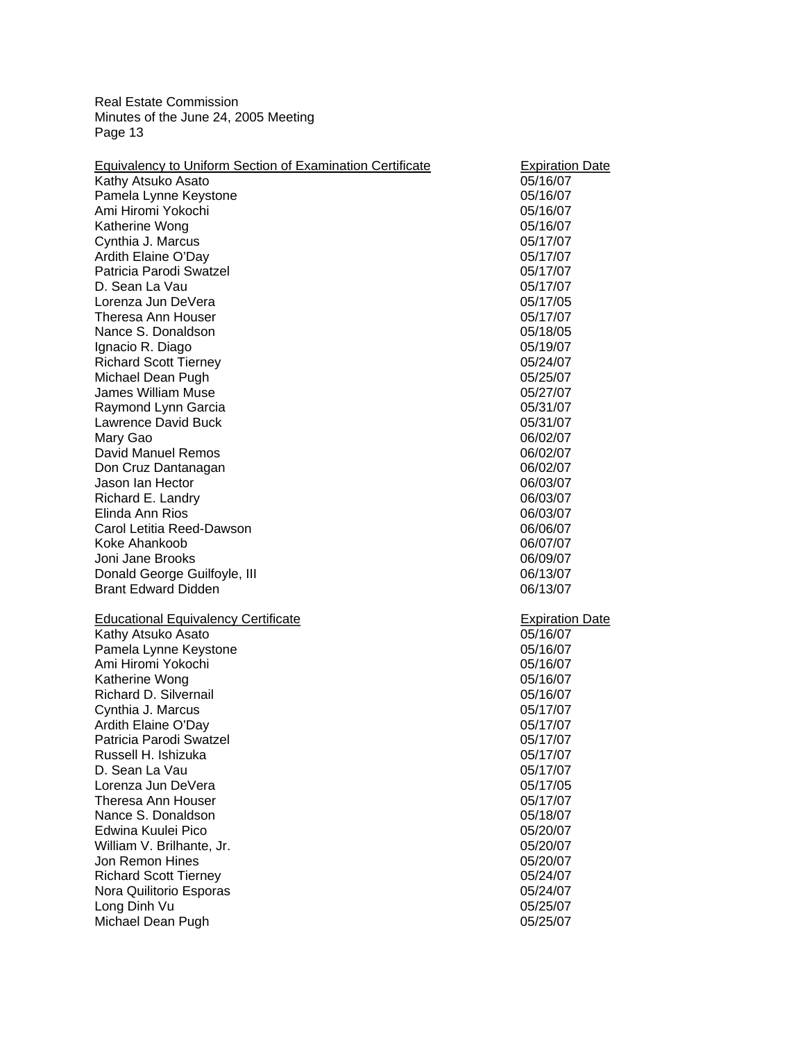| Pamela Lynne Keystone<br>05/16/07<br>Ami Hiromi Yokochi<br>05/16/07<br>Katherine Wong<br>05/16/07<br>Cynthia J. Marcus<br>05/17/07<br>Ardith Elaine O'Day<br>05/17/07<br>Patricia Parodi Swatzel<br>05/17/07<br>D. Sean La Vau<br>05/17/07<br>Lorenza Jun DeVera<br>05/17/05<br>Theresa Ann Houser<br>05/17/07<br>Nance S. Donaldson<br>05/18/05<br>Ignacio R. Diago<br>05/19/07<br><b>Richard Scott Tierney</b><br>05/24/07<br>Michael Dean Pugh<br>05/25/07<br><b>James William Muse</b><br>05/27/07<br>Raymond Lynn Garcia<br>05/31/07<br>Lawrence David Buck<br>05/31/07<br>Mary Gao<br>06/02/07<br>David Manuel Remos<br>06/02/07<br>Don Cruz Dantanagan<br>06/02/07<br>Jason Ian Hector<br>06/03/07<br>Richard E. Landry<br>06/03/07<br>Elinda Ann Rios<br>06/03/07<br>Carol Letitia Reed-Dawson<br>06/06/07<br>Koke Ahankoob<br>06/07/07<br>Joni Jane Brooks<br>06/09/07<br>Donald George Guilfoyle, III<br>06/13/07<br><b>Brant Edward Didden</b><br>06/13/07<br><b>Educational Equivalency Certificate</b><br><b>Expiration Date</b><br>Kathy Atsuko Asato<br>05/16/07<br>Pamela Lynne Keystone<br>05/16/07<br>Ami Hiromi Yokochi<br>05/16/07<br>Katherine Wong<br>05/16/07<br>Richard D. Silvernail<br>05/16/07<br>Cynthia J. Marcus<br>05/17/07<br>Ardith Elaine O'Day<br>05/17/07<br>Patricia Parodi Swatzel<br>05/17/07<br>Russell H. Ishizuka<br>05/17/07<br>D. Sean La Vau<br>05/17/07<br>Lorenza Jun DeVera<br>05/17/05<br>Theresa Ann Houser<br>05/17/07<br>Nance S. Donaldson<br>05/18/07<br>Edwina Kuulei Pico<br>05/20/07<br>William V. Brilhante, Jr.<br>05/20/07<br>Jon Remon Hines<br>05/20/07<br><b>Richard Scott Tierney</b><br>05/24/07<br>Nora Quilitorio Esporas<br>05/24/07 |                               | <b>Equivalency to Uniform Section of Examination Certificate</b> | <b>Expiration Date</b> |
|----------------------------------------------------------------------------------------------------------------------------------------------------------------------------------------------------------------------------------------------------------------------------------------------------------------------------------------------------------------------------------------------------------------------------------------------------------------------------------------------------------------------------------------------------------------------------------------------------------------------------------------------------------------------------------------------------------------------------------------------------------------------------------------------------------------------------------------------------------------------------------------------------------------------------------------------------------------------------------------------------------------------------------------------------------------------------------------------------------------------------------------------------------------------------------------------------------------------------------------------------------------------------------------------------------------------------------------------------------------------------------------------------------------------------------------------------------------------------------------------------------------------------------------------------------------------------------------------------------------------------------------------------------------------------------------------------------|-------------------------------|------------------------------------------------------------------|------------------------|
|                                                                                                                                                                                                                                                                                                                                                                                                                                                                                                                                                                                                                                                                                                                                                                                                                                                                                                                                                                                                                                                                                                                                                                                                                                                                                                                                                                                                                                                                                                                                                                                                                                                                                                          |                               | Kathy Atsuko Asato                                               | 05/16/07               |
|                                                                                                                                                                                                                                                                                                                                                                                                                                                                                                                                                                                                                                                                                                                                                                                                                                                                                                                                                                                                                                                                                                                                                                                                                                                                                                                                                                                                                                                                                                                                                                                                                                                                                                          |                               |                                                                  |                        |
|                                                                                                                                                                                                                                                                                                                                                                                                                                                                                                                                                                                                                                                                                                                                                                                                                                                                                                                                                                                                                                                                                                                                                                                                                                                                                                                                                                                                                                                                                                                                                                                                                                                                                                          |                               |                                                                  |                        |
|                                                                                                                                                                                                                                                                                                                                                                                                                                                                                                                                                                                                                                                                                                                                                                                                                                                                                                                                                                                                                                                                                                                                                                                                                                                                                                                                                                                                                                                                                                                                                                                                                                                                                                          |                               |                                                                  |                        |
|                                                                                                                                                                                                                                                                                                                                                                                                                                                                                                                                                                                                                                                                                                                                                                                                                                                                                                                                                                                                                                                                                                                                                                                                                                                                                                                                                                                                                                                                                                                                                                                                                                                                                                          |                               |                                                                  |                        |
|                                                                                                                                                                                                                                                                                                                                                                                                                                                                                                                                                                                                                                                                                                                                                                                                                                                                                                                                                                                                                                                                                                                                                                                                                                                                                                                                                                                                                                                                                                                                                                                                                                                                                                          |                               |                                                                  |                        |
|                                                                                                                                                                                                                                                                                                                                                                                                                                                                                                                                                                                                                                                                                                                                                                                                                                                                                                                                                                                                                                                                                                                                                                                                                                                                                                                                                                                                                                                                                                                                                                                                                                                                                                          |                               |                                                                  |                        |
|                                                                                                                                                                                                                                                                                                                                                                                                                                                                                                                                                                                                                                                                                                                                                                                                                                                                                                                                                                                                                                                                                                                                                                                                                                                                                                                                                                                                                                                                                                                                                                                                                                                                                                          |                               |                                                                  |                        |
|                                                                                                                                                                                                                                                                                                                                                                                                                                                                                                                                                                                                                                                                                                                                                                                                                                                                                                                                                                                                                                                                                                                                                                                                                                                                                                                                                                                                                                                                                                                                                                                                                                                                                                          |                               |                                                                  |                        |
|                                                                                                                                                                                                                                                                                                                                                                                                                                                                                                                                                                                                                                                                                                                                                                                                                                                                                                                                                                                                                                                                                                                                                                                                                                                                                                                                                                                                                                                                                                                                                                                                                                                                                                          |                               |                                                                  |                        |
|                                                                                                                                                                                                                                                                                                                                                                                                                                                                                                                                                                                                                                                                                                                                                                                                                                                                                                                                                                                                                                                                                                                                                                                                                                                                                                                                                                                                                                                                                                                                                                                                                                                                                                          |                               |                                                                  |                        |
|                                                                                                                                                                                                                                                                                                                                                                                                                                                                                                                                                                                                                                                                                                                                                                                                                                                                                                                                                                                                                                                                                                                                                                                                                                                                                                                                                                                                                                                                                                                                                                                                                                                                                                          |                               |                                                                  |                        |
|                                                                                                                                                                                                                                                                                                                                                                                                                                                                                                                                                                                                                                                                                                                                                                                                                                                                                                                                                                                                                                                                                                                                                                                                                                                                                                                                                                                                                                                                                                                                                                                                                                                                                                          |                               |                                                                  |                        |
|                                                                                                                                                                                                                                                                                                                                                                                                                                                                                                                                                                                                                                                                                                                                                                                                                                                                                                                                                                                                                                                                                                                                                                                                                                                                                                                                                                                                                                                                                                                                                                                                                                                                                                          |                               |                                                                  |                        |
|                                                                                                                                                                                                                                                                                                                                                                                                                                                                                                                                                                                                                                                                                                                                                                                                                                                                                                                                                                                                                                                                                                                                                                                                                                                                                                                                                                                                                                                                                                                                                                                                                                                                                                          |                               |                                                                  |                        |
|                                                                                                                                                                                                                                                                                                                                                                                                                                                                                                                                                                                                                                                                                                                                                                                                                                                                                                                                                                                                                                                                                                                                                                                                                                                                                                                                                                                                                                                                                                                                                                                                                                                                                                          |                               |                                                                  |                        |
|                                                                                                                                                                                                                                                                                                                                                                                                                                                                                                                                                                                                                                                                                                                                                                                                                                                                                                                                                                                                                                                                                                                                                                                                                                                                                                                                                                                                                                                                                                                                                                                                                                                                                                          |                               |                                                                  |                        |
|                                                                                                                                                                                                                                                                                                                                                                                                                                                                                                                                                                                                                                                                                                                                                                                                                                                                                                                                                                                                                                                                                                                                                                                                                                                                                                                                                                                                                                                                                                                                                                                                                                                                                                          |                               |                                                                  |                        |
|                                                                                                                                                                                                                                                                                                                                                                                                                                                                                                                                                                                                                                                                                                                                                                                                                                                                                                                                                                                                                                                                                                                                                                                                                                                                                                                                                                                                                                                                                                                                                                                                                                                                                                          |                               |                                                                  |                        |
|                                                                                                                                                                                                                                                                                                                                                                                                                                                                                                                                                                                                                                                                                                                                                                                                                                                                                                                                                                                                                                                                                                                                                                                                                                                                                                                                                                                                                                                                                                                                                                                                                                                                                                          |                               |                                                                  |                        |
|                                                                                                                                                                                                                                                                                                                                                                                                                                                                                                                                                                                                                                                                                                                                                                                                                                                                                                                                                                                                                                                                                                                                                                                                                                                                                                                                                                                                                                                                                                                                                                                                                                                                                                          |                               |                                                                  |                        |
|                                                                                                                                                                                                                                                                                                                                                                                                                                                                                                                                                                                                                                                                                                                                                                                                                                                                                                                                                                                                                                                                                                                                                                                                                                                                                                                                                                                                                                                                                                                                                                                                                                                                                                          |                               |                                                                  |                        |
|                                                                                                                                                                                                                                                                                                                                                                                                                                                                                                                                                                                                                                                                                                                                                                                                                                                                                                                                                                                                                                                                                                                                                                                                                                                                                                                                                                                                                                                                                                                                                                                                                                                                                                          |                               |                                                                  |                        |
|                                                                                                                                                                                                                                                                                                                                                                                                                                                                                                                                                                                                                                                                                                                                                                                                                                                                                                                                                                                                                                                                                                                                                                                                                                                                                                                                                                                                                                                                                                                                                                                                                                                                                                          |                               |                                                                  |                        |
|                                                                                                                                                                                                                                                                                                                                                                                                                                                                                                                                                                                                                                                                                                                                                                                                                                                                                                                                                                                                                                                                                                                                                                                                                                                                                                                                                                                                                                                                                                                                                                                                                                                                                                          |                               |                                                                  |                        |
|                                                                                                                                                                                                                                                                                                                                                                                                                                                                                                                                                                                                                                                                                                                                                                                                                                                                                                                                                                                                                                                                                                                                                                                                                                                                                                                                                                                                                                                                                                                                                                                                                                                                                                          |                               |                                                                  |                        |
|                                                                                                                                                                                                                                                                                                                                                                                                                                                                                                                                                                                                                                                                                                                                                                                                                                                                                                                                                                                                                                                                                                                                                                                                                                                                                                                                                                                                                                                                                                                                                                                                                                                                                                          |                               |                                                                  |                        |
|                                                                                                                                                                                                                                                                                                                                                                                                                                                                                                                                                                                                                                                                                                                                                                                                                                                                                                                                                                                                                                                                                                                                                                                                                                                                                                                                                                                                                                                                                                                                                                                                                                                                                                          |                               |                                                                  |                        |
|                                                                                                                                                                                                                                                                                                                                                                                                                                                                                                                                                                                                                                                                                                                                                                                                                                                                                                                                                                                                                                                                                                                                                                                                                                                                                                                                                                                                                                                                                                                                                                                                                                                                                                          |                               |                                                                  |                        |
|                                                                                                                                                                                                                                                                                                                                                                                                                                                                                                                                                                                                                                                                                                                                                                                                                                                                                                                                                                                                                                                                                                                                                                                                                                                                                                                                                                                                                                                                                                                                                                                                                                                                                                          |                               |                                                                  |                        |
|                                                                                                                                                                                                                                                                                                                                                                                                                                                                                                                                                                                                                                                                                                                                                                                                                                                                                                                                                                                                                                                                                                                                                                                                                                                                                                                                                                                                                                                                                                                                                                                                                                                                                                          |                               |                                                                  |                        |
|                                                                                                                                                                                                                                                                                                                                                                                                                                                                                                                                                                                                                                                                                                                                                                                                                                                                                                                                                                                                                                                                                                                                                                                                                                                                                                                                                                                                                                                                                                                                                                                                                                                                                                          |                               |                                                                  |                        |
|                                                                                                                                                                                                                                                                                                                                                                                                                                                                                                                                                                                                                                                                                                                                                                                                                                                                                                                                                                                                                                                                                                                                                                                                                                                                                                                                                                                                                                                                                                                                                                                                                                                                                                          |                               |                                                                  |                        |
|                                                                                                                                                                                                                                                                                                                                                                                                                                                                                                                                                                                                                                                                                                                                                                                                                                                                                                                                                                                                                                                                                                                                                                                                                                                                                                                                                                                                                                                                                                                                                                                                                                                                                                          |                               |                                                                  |                        |
|                                                                                                                                                                                                                                                                                                                                                                                                                                                                                                                                                                                                                                                                                                                                                                                                                                                                                                                                                                                                                                                                                                                                                                                                                                                                                                                                                                                                                                                                                                                                                                                                                                                                                                          |                               |                                                                  |                        |
|                                                                                                                                                                                                                                                                                                                                                                                                                                                                                                                                                                                                                                                                                                                                                                                                                                                                                                                                                                                                                                                                                                                                                                                                                                                                                                                                                                                                                                                                                                                                                                                                                                                                                                          |                               |                                                                  |                        |
|                                                                                                                                                                                                                                                                                                                                                                                                                                                                                                                                                                                                                                                                                                                                                                                                                                                                                                                                                                                                                                                                                                                                                                                                                                                                                                                                                                                                                                                                                                                                                                                                                                                                                                          |                               |                                                                  |                        |
|                                                                                                                                                                                                                                                                                                                                                                                                                                                                                                                                                                                                                                                                                                                                                                                                                                                                                                                                                                                                                                                                                                                                                                                                                                                                                                                                                                                                                                                                                                                                                                                                                                                                                                          |                               |                                                                  |                        |
|                                                                                                                                                                                                                                                                                                                                                                                                                                                                                                                                                                                                                                                                                                                                                                                                                                                                                                                                                                                                                                                                                                                                                                                                                                                                                                                                                                                                                                                                                                                                                                                                                                                                                                          |                               |                                                                  |                        |
|                                                                                                                                                                                                                                                                                                                                                                                                                                                                                                                                                                                                                                                                                                                                                                                                                                                                                                                                                                                                                                                                                                                                                                                                                                                                                                                                                                                                                                                                                                                                                                                                                                                                                                          |                               |                                                                  |                        |
|                                                                                                                                                                                                                                                                                                                                                                                                                                                                                                                                                                                                                                                                                                                                                                                                                                                                                                                                                                                                                                                                                                                                                                                                                                                                                                                                                                                                                                                                                                                                                                                                                                                                                                          |                               |                                                                  |                        |
|                                                                                                                                                                                                                                                                                                                                                                                                                                                                                                                                                                                                                                                                                                                                                                                                                                                                                                                                                                                                                                                                                                                                                                                                                                                                                                                                                                                                                                                                                                                                                                                                                                                                                                          |                               |                                                                  |                        |
|                                                                                                                                                                                                                                                                                                                                                                                                                                                                                                                                                                                                                                                                                                                                                                                                                                                                                                                                                                                                                                                                                                                                                                                                                                                                                                                                                                                                                                                                                                                                                                                                                                                                                                          |                               |                                                                  |                        |
|                                                                                                                                                                                                                                                                                                                                                                                                                                                                                                                                                                                                                                                                                                                                                                                                                                                                                                                                                                                                                                                                                                                                                                                                                                                                                                                                                                                                                                                                                                                                                                                                                                                                                                          |                               |                                                                  |                        |
|                                                                                                                                                                                                                                                                                                                                                                                                                                                                                                                                                                                                                                                                                                                                                                                                                                                                                                                                                                                                                                                                                                                                                                                                                                                                                                                                                                                                                                                                                                                                                                                                                                                                                                          |                               |                                                                  |                        |
|                                                                                                                                                                                                                                                                                                                                                                                                                                                                                                                                                                                                                                                                                                                                                                                                                                                                                                                                                                                                                                                                                                                                                                                                                                                                                                                                                                                                                                                                                                                                                                                                                                                                                                          |                               |                                                                  |                        |
|                                                                                                                                                                                                                                                                                                                                                                                                                                                                                                                                                                                                                                                                                                                                                                                                                                                                                                                                                                                                                                                                                                                                                                                                                                                                                                                                                                                                                                                                                                                                                                                                                                                                                                          |                               |                                                                  |                        |
|                                                                                                                                                                                                                                                                                                                                                                                                                                                                                                                                                                                                                                                                                                                                                                                                                                                                                                                                                                                                                                                                                                                                                                                                                                                                                                                                                                                                                                                                                                                                                                                                                                                                                                          |                               |                                                                  |                        |
|                                                                                                                                                                                                                                                                                                                                                                                                                                                                                                                                                                                                                                                                                                                                                                                                                                                                                                                                                                                                                                                                                                                                                                                                                                                                                                                                                                                                                                                                                                                                                                                                                                                                                                          | Long Dinh Vu<br>05/25/07      |                                                                  |                        |
|                                                                                                                                                                                                                                                                                                                                                                                                                                                                                                                                                                                                                                                                                                                                                                                                                                                                                                                                                                                                                                                                                                                                                                                                                                                                                                                                                                                                                                                                                                                                                                                                                                                                                                          | Michael Dean Pugh<br>05/25/07 |                                                                  |                        |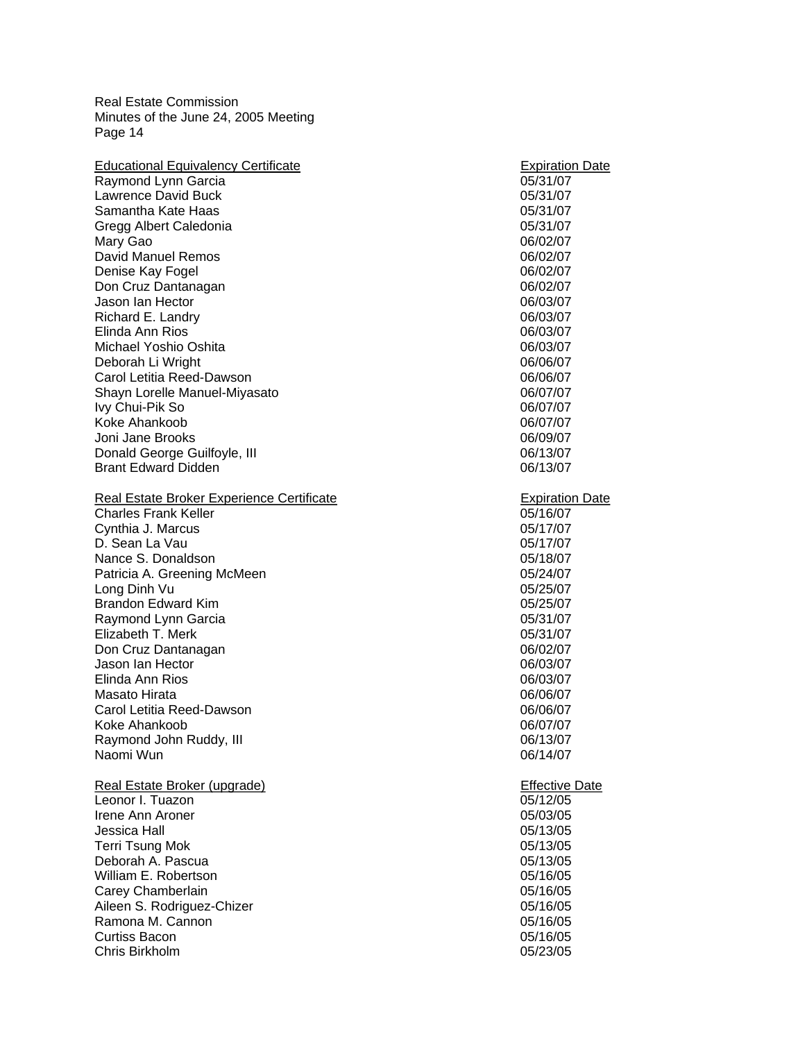| 05/31/07<br>Raymond Lynn Garcia<br><b>Lawrence David Buck</b><br>05/31/07<br>Samantha Kate Haas<br>05/31/07<br>Gregg Albert Caledonia<br>05/31/07<br>Mary Gao<br>06/02/07<br><b>David Manuel Remos</b><br>06/02/07<br>Denise Kay Fogel<br>06/02/07<br>Don Cruz Dantanagan<br>06/02/07<br>Jason Ian Hector<br>06/03/07<br>Richard E. Landry<br>06/03/07<br>Elinda Ann Rios<br>06/03/07<br>Michael Yoshio Oshita<br>06/03/07<br>Deborah Li Wright<br>06/06/07<br>Carol Letitia Reed-Dawson<br>06/06/07<br>Shayn Lorelle Manuel-Miyasato<br>06/07/07<br>Ivy Chui-Pik So<br>06/07/07<br>Koke Ahankoob<br>06/07/07<br>Joni Jane Brooks<br>06/09/07<br>Donald George Guilfoyle, III<br>06/13/07<br><b>Brant Edward Didden</b><br>06/13/07<br>Real Estate Broker Experience Certificate<br><b>Expiration Date</b><br><b>Charles Frank Keller</b><br>05/16/07<br>Cynthia J. Marcus<br>05/17/07<br>D. Sean La Vau<br>05/17/07<br>Nance S. Donaldson<br>05/18/07<br>Patricia A. Greening McMeen<br>05/24/07<br>Long Dinh Vu<br>05/25/07<br><b>Brandon Edward Kim</b><br>05/25/07<br>Raymond Lynn Garcia<br>05/31/07<br>Elizabeth T. Merk<br>05/31/07<br>Don Cruz Dantanagan<br>06/02/07<br>Jason Ian Hector<br>06/03/07<br>Elinda Ann Rios<br>06/03/07<br>Masato Hirata<br>06/06/07<br>Carol Letitia Reed-Dawson<br>06/06/07<br>Koke Ahankoob<br>06/07/07<br>Raymond John Ruddy, III<br>06/13/07<br>Naomi Wun<br>06/14/07<br>Real Estate Broker (upgrade)<br><b>Effective Date</b><br>Leonor I. Tuazon<br>05/12/05<br>Irene Ann Aroner<br>05/03/05<br>Jessica Hall<br>05/13/05<br><b>Terri Tsung Mok</b><br>05/13/05<br>Deborah A. Pascua<br>05/13/05<br>William E. Robertson<br>05/16/05<br>Carey Chamberlain<br>05/16/05<br>Aileen S. Rodriguez-Chizer<br>05/16/05<br>Ramona M. Cannon<br>05/16/05<br><b>Curtiss Bacon</b><br>05/16/05<br>Chris Birkholm<br>05/23/05 | <b>Educational Equivalency Certificate</b> | <b>Expiration Date</b> |
|--------------------------------------------------------------------------------------------------------------------------------------------------------------------------------------------------------------------------------------------------------------------------------------------------------------------------------------------------------------------------------------------------------------------------------------------------------------------------------------------------------------------------------------------------------------------------------------------------------------------------------------------------------------------------------------------------------------------------------------------------------------------------------------------------------------------------------------------------------------------------------------------------------------------------------------------------------------------------------------------------------------------------------------------------------------------------------------------------------------------------------------------------------------------------------------------------------------------------------------------------------------------------------------------------------------------------------------------------------------------------------------------------------------------------------------------------------------------------------------------------------------------------------------------------------------------------------------------------------------------------------------------------------------------------------------------------------------------------------------------------------------------------------------------------------------------------------------------------------------|--------------------------------------------|------------------------|
|                                                                                                                                                                                                                                                                                                                                                                                                                                                                                                                                                                                                                                                                                                                                                                                                                                                                                                                                                                                                                                                                                                                                                                                                                                                                                                                                                                                                                                                                                                                                                                                                                                                                                                                                                                                                                                                              |                                            |                        |
|                                                                                                                                                                                                                                                                                                                                                                                                                                                                                                                                                                                                                                                                                                                                                                                                                                                                                                                                                                                                                                                                                                                                                                                                                                                                                                                                                                                                                                                                                                                                                                                                                                                                                                                                                                                                                                                              |                                            |                        |
|                                                                                                                                                                                                                                                                                                                                                                                                                                                                                                                                                                                                                                                                                                                                                                                                                                                                                                                                                                                                                                                                                                                                                                                                                                                                                                                                                                                                                                                                                                                                                                                                                                                                                                                                                                                                                                                              |                                            |                        |
|                                                                                                                                                                                                                                                                                                                                                                                                                                                                                                                                                                                                                                                                                                                                                                                                                                                                                                                                                                                                                                                                                                                                                                                                                                                                                                                                                                                                                                                                                                                                                                                                                                                                                                                                                                                                                                                              |                                            |                        |
|                                                                                                                                                                                                                                                                                                                                                                                                                                                                                                                                                                                                                                                                                                                                                                                                                                                                                                                                                                                                                                                                                                                                                                                                                                                                                                                                                                                                                                                                                                                                                                                                                                                                                                                                                                                                                                                              |                                            |                        |
|                                                                                                                                                                                                                                                                                                                                                                                                                                                                                                                                                                                                                                                                                                                                                                                                                                                                                                                                                                                                                                                                                                                                                                                                                                                                                                                                                                                                                                                                                                                                                                                                                                                                                                                                                                                                                                                              |                                            |                        |
|                                                                                                                                                                                                                                                                                                                                                                                                                                                                                                                                                                                                                                                                                                                                                                                                                                                                                                                                                                                                                                                                                                                                                                                                                                                                                                                                                                                                                                                                                                                                                                                                                                                                                                                                                                                                                                                              |                                            |                        |
|                                                                                                                                                                                                                                                                                                                                                                                                                                                                                                                                                                                                                                                                                                                                                                                                                                                                                                                                                                                                                                                                                                                                                                                                                                                                                                                                                                                                                                                                                                                                                                                                                                                                                                                                                                                                                                                              |                                            |                        |
|                                                                                                                                                                                                                                                                                                                                                                                                                                                                                                                                                                                                                                                                                                                                                                                                                                                                                                                                                                                                                                                                                                                                                                                                                                                                                                                                                                                                                                                                                                                                                                                                                                                                                                                                                                                                                                                              |                                            |                        |
|                                                                                                                                                                                                                                                                                                                                                                                                                                                                                                                                                                                                                                                                                                                                                                                                                                                                                                                                                                                                                                                                                                                                                                                                                                                                                                                                                                                                                                                                                                                                                                                                                                                                                                                                                                                                                                                              |                                            |                        |
|                                                                                                                                                                                                                                                                                                                                                                                                                                                                                                                                                                                                                                                                                                                                                                                                                                                                                                                                                                                                                                                                                                                                                                                                                                                                                                                                                                                                                                                                                                                                                                                                                                                                                                                                                                                                                                                              |                                            |                        |
|                                                                                                                                                                                                                                                                                                                                                                                                                                                                                                                                                                                                                                                                                                                                                                                                                                                                                                                                                                                                                                                                                                                                                                                                                                                                                                                                                                                                                                                                                                                                                                                                                                                                                                                                                                                                                                                              |                                            |                        |
|                                                                                                                                                                                                                                                                                                                                                                                                                                                                                                                                                                                                                                                                                                                                                                                                                                                                                                                                                                                                                                                                                                                                                                                                                                                                                                                                                                                                                                                                                                                                                                                                                                                                                                                                                                                                                                                              |                                            |                        |
|                                                                                                                                                                                                                                                                                                                                                                                                                                                                                                                                                                                                                                                                                                                                                                                                                                                                                                                                                                                                                                                                                                                                                                                                                                                                                                                                                                                                                                                                                                                                                                                                                                                                                                                                                                                                                                                              |                                            |                        |
|                                                                                                                                                                                                                                                                                                                                                                                                                                                                                                                                                                                                                                                                                                                                                                                                                                                                                                                                                                                                                                                                                                                                                                                                                                                                                                                                                                                                                                                                                                                                                                                                                                                                                                                                                                                                                                                              |                                            |                        |
|                                                                                                                                                                                                                                                                                                                                                                                                                                                                                                                                                                                                                                                                                                                                                                                                                                                                                                                                                                                                                                                                                                                                                                                                                                                                                                                                                                                                                                                                                                                                                                                                                                                                                                                                                                                                                                                              |                                            |                        |
|                                                                                                                                                                                                                                                                                                                                                                                                                                                                                                                                                                                                                                                                                                                                                                                                                                                                                                                                                                                                                                                                                                                                                                                                                                                                                                                                                                                                                                                                                                                                                                                                                                                                                                                                                                                                                                                              |                                            |                        |
|                                                                                                                                                                                                                                                                                                                                                                                                                                                                                                                                                                                                                                                                                                                                                                                                                                                                                                                                                                                                                                                                                                                                                                                                                                                                                                                                                                                                                                                                                                                                                                                                                                                                                                                                                                                                                                                              |                                            |                        |
|                                                                                                                                                                                                                                                                                                                                                                                                                                                                                                                                                                                                                                                                                                                                                                                                                                                                                                                                                                                                                                                                                                                                                                                                                                                                                                                                                                                                                                                                                                                                                                                                                                                                                                                                                                                                                                                              |                                            |                        |
|                                                                                                                                                                                                                                                                                                                                                                                                                                                                                                                                                                                                                                                                                                                                                                                                                                                                                                                                                                                                                                                                                                                                                                                                                                                                                                                                                                                                                                                                                                                                                                                                                                                                                                                                                                                                                                                              |                                            |                        |
|                                                                                                                                                                                                                                                                                                                                                                                                                                                                                                                                                                                                                                                                                                                                                                                                                                                                                                                                                                                                                                                                                                                                                                                                                                                                                                                                                                                                                                                                                                                                                                                                                                                                                                                                                                                                                                                              |                                            |                        |
|                                                                                                                                                                                                                                                                                                                                                                                                                                                                                                                                                                                                                                                                                                                                                                                                                                                                                                                                                                                                                                                                                                                                                                                                                                                                                                                                                                                                                                                                                                                                                                                                                                                                                                                                                                                                                                                              |                                            |                        |
|                                                                                                                                                                                                                                                                                                                                                                                                                                                                                                                                                                                                                                                                                                                                                                                                                                                                                                                                                                                                                                                                                                                                                                                                                                                                                                                                                                                                                                                                                                                                                                                                                                                                                                                                                                                                                                                              |                                            |                        |
|                                                                                                                                                                                                                                                                                                                                                                                                                                                                                                                                                                                                                                                                                                                                                                                                                                                                                                                                                                                                                                                                                                                                                                                                                                                                                                                                                                                                                                                                                                                                                                                                                                                                                                                                                                                                                                                              |                                            |                        |
|                                                                                                                                                                                                                                                                                                                                                                                                                                                                                                                                                                                                                                                                                                                                                                                                                                                                                                                                                                                                                                                                                                                                                                                                                                                                                                                                                                                                                                                                                                                                                                                                                                                                                                                                                                                                                                                              |                                            |                        |
|                                                                                                                                                                                                                                                                                                                                                                                                                                                                                                                                                                                                                                                                                                                                                                                                                                                                                                                                                                                                                                                                                                                                                                                                                                                                                                                                                                                                                                                                                                                                                                                                                                                                                                                                                                                                                                                              |                                            |                        |
|                                                                                                                                                                                                                                                                                                                                                                                                                                                                                                                                                                                                                                                                                                                                                                                                                                                                                                                                                                                                                                                                                                                                                                                                                                                                                                                                                                                                                                                                                                                                                                                                                                                                                                                                                                                                                                                              |                                            |                        |
|                                                                                                                                                                                                                                                                                                                                                                                                                                                                                                                                                                                                                                                                                                                                                                                                                                                                                                                                                                                                                                                                                                                                                                                                                                                                                                                                                                                                                                                                                                                                                                                                                                                                                                                                                                                                                                                              |                                            |                        |
|                                                                                                                                                                                                                                                                                                                                                                                                                                                                                                                                                                                                                                                                                                                                                                                                                                                                                                                                                                                                                                                                                                                                                                                                                                                                                                                                                                                                                                                                                                                                                                                                                                                                                                                                                                                                                                                              |                                            |                        |
|                                                                                                                                                                                                                                                                                                                                                                                                                                                                                                                                                                                                                                                                                                                                                                                                                                                                                                                                                                                                                                                                                                                                                                                                                                                                                                                                                                                                                                                                                                                                                                                                                                                                                                                                                                                                                                                              |                                            |                        |
|                                                                                                                                                                                                                                                                                                                                                                                                                                                                                                                                                                                                                                                                                                                                                                                                                                                                                                                                                                                                                                                                                                                                                                                                                                                                                                                                                                                                                                                                                                                                                                                                                                                                                                                                                                                                                                                              |                                            |                        |
|                                                                                                                                                                                                                                                                                                                                                                                                                                                                                                                                                                                                                                                                                                                                                                                                                                                                                                                                                                                                                                                                                                                                                                                                                                                                                                                                                                                                                                                                                                                                                                                                                                                                                                                                                                                                                                                              |                                            |                        |
|                                                                                                                                                                                                                                                                                                                                                                                                                                                                                                                                                                                                                                                                                                                                                                                                                                                                                                                                                                                                                                                                                                                                                                                                                                                                                                                                                                                                                                                                                                                                                                                                                                                                                                                                                                                                                                                              |                                            |                        |
|                                                                                                                                                                                                                                                                                                                                                                                                                                                                                                                                                                                                                                                                                                                                                                                                                                                                                                                                                                                                                                                                                                                                                                                                                                                                                                                                                                                                                                                                                                                                                                                                                                                                                                                                                                                                                                                              |                                            |                        |
|                                                                                                                                                                                                                                                                                                                                                                                                                                                                                                                                                                                                                                                                                                                                                                                                                                                                                                                                                                                                                                                                                                                                                                                                                                                                                                                                                                                                                                                                                                                                                                                                                                                                                                                                                                                                                                                              |                                            |                        |
|                                                                                                                                                                                                                                                                                                                                                                                                                                                                                                                                                                                                                                                                                                                                                                                                                                                                                                                                                                                                                                                                                                                                                                                                                                                                                                                                                                                                                                                                                                                                                                                                                                                                                                                                                                                                                                                              |                                            |                        |
|                                                                                                                                                                                                                                                                                                                                                                                                                                                                                                                                                                                                                                                                                                                                                                                                                                                                                                                                                                                                                                                                                                                                                                                                                                                                                                                                                                                                                                                                                                                                                                                                                                                                                                                                                                                                                                                              |                                            |                        |
|                                                                                                                                                                                                                                                                                                                                                                                                                                                                                                                                                                                                                                                                                                                                                                                                                                                                                                                                                                                                                                                                                                                                                                                                                                                                                                                                                                                                                                                                                                                                                                                                                                                                                                                                                                                                                                                              |                                            |                        |
|                                                                                                                                                                                                                                                                                                                                                                                                                                                                                                                                                                                                                                                                                                                                                                                                                                                                                                                                                                                                                                                                                                                                                                                                                                                                                                                                                                                                                                                                                                                                                                                                                                                                                                                                                                                                                                                              |                                            |                        |
|                                                                                                                                                                                                                                                                                                                                                                                                                                                                                                                                                                                                                                                                                                                                                                                                                                                                                                                                                                                                                                                                                                                                                                                                                                                                                                                                                                                                                                                                                                                                                                                                                                                                                                                                                                                                                                                              |                                            |                        |
|                                                                                                                                                                                                                                                                                                                                                                                                                                                                                                                                                                                                                                                                                                                                                                                                                                                                                                                                                                                                                                                                                                                                                                                                                                                                                                                                                                                                                                                                                                                                                                                                                                                                                                                                                                                                                                                              |                                            |                        |
|                                                                                                                                                                                                                                                                                                                                                                                                                                                                                                                                                                                                                                                                                                                                                                                                                                                                                                                                                                                                                                                                                                                                                                                                                                                                                                                                                                                                                                                                                                                                                                                                                                                                                                                                                                                                                                                              |                                            |                        |
|                                                                                                                                                                                                                                                                                                                                                                                                                                                                                                                                                                                                                                                                                                                                                                                                                                                                                                                                                                                                                                                                                                                                                                                                                                                                                                                                                                                                                                                                                                                                                                                                                                                                                                                                                                                                                                                              |                                            |                        |
|                                                                                                                                                                                                                                                                                                                                                                                                                                                                                                                                                                                                                                                                                                                                                                                                                                                                                                                                                                                                                                                                                                                                                                                                                                                                                                                                                                                                                                                                                                                                                                                                                                                                                                                                                                                                                                                              |                                            |                        |
|                                                                                                                                                                                                                                                                                                                                                                                                                                                                                                                                                                                                                                                                                                                                                                                                                                                                                                                                                                                                                                                                                                                                                                                                                                                                                                                                                                                                                                                                                                                                                                                                                                                                                                                                                                                                                                                              |                                            |                        |
|                                                                                                                                                                                                                                                                                                                                                                                                                                                                                                                                                                                                                                                                                                                                                                                                                                                                                                                                                                                                                                                                                                                                                                                                                                                                                                                                                                                                                                                                                                                                                                                                                                                                                                                                                                                                                                                              |                                            |                        |
|                                                                                                                                                                                                                                                                                                                                                                                                                                                                                                                                                                                                                                                                                                                                                                                                                                                                                                                                                                                                                                                                                                                                                                                                                                                                                                                                                                                                                                                                                                                                                                                                                                                                                                                                                                                                                                                              |                                            |                        |
|                                                                                                                                                                                                                                                                                                                                                                                                                                                                                                                                                                                                                                                                                                                                                                                                                                                                                                                                                                                                                                                                                                                                                                                                                                                                                                                                                                                                                                                                                                                                                                                                                                                                                                                                                                                                                                                              |                                            |                        |
|                                                                                                                                                                                                                                                                                                                                                                                                                                                                                                                                                                                                                                                                                                                                                                                                                                                                                                                                                                                                                                                                                                                                                                                                                                                                                                                                                                                                                                                                                                                                                                                                                                                                                                                                                                                                                                                              |                                            |                        |
|                                                                                                                                                                                                                                                                                                                                                                                                                                                                                                                                                                                                                                                                                                                                                                                                                                                                                                                                                                                                                                                                                                                                                                                                                                                                                                                                                                                                                                                                                                                                                                                                                                                                                                                                                                                                                                                              |                                            |                        |
|                                                                                                                                                                                                                                                                                                                                                                                                                                                                                                                                                                                                                                                                                                                                                                                                                                                                                                                                                                                                                                                                                                                                                                                                                                                                                                                                                                                                                                                                                                                                                                                                                                                                                                                                                                                                                                                              |                                            |                        |
|                                                                                                                                                                                                                                                                                                                                                                                                                                                                                                                                                                                                                                                                                                                                                                                                                                                                                                                                                                                                                                                                                                                                                                                                                                                                                                                                                                                                                                                                                                                                                                                                                                                                                                                                                                                                                                                              |                                            |                        |